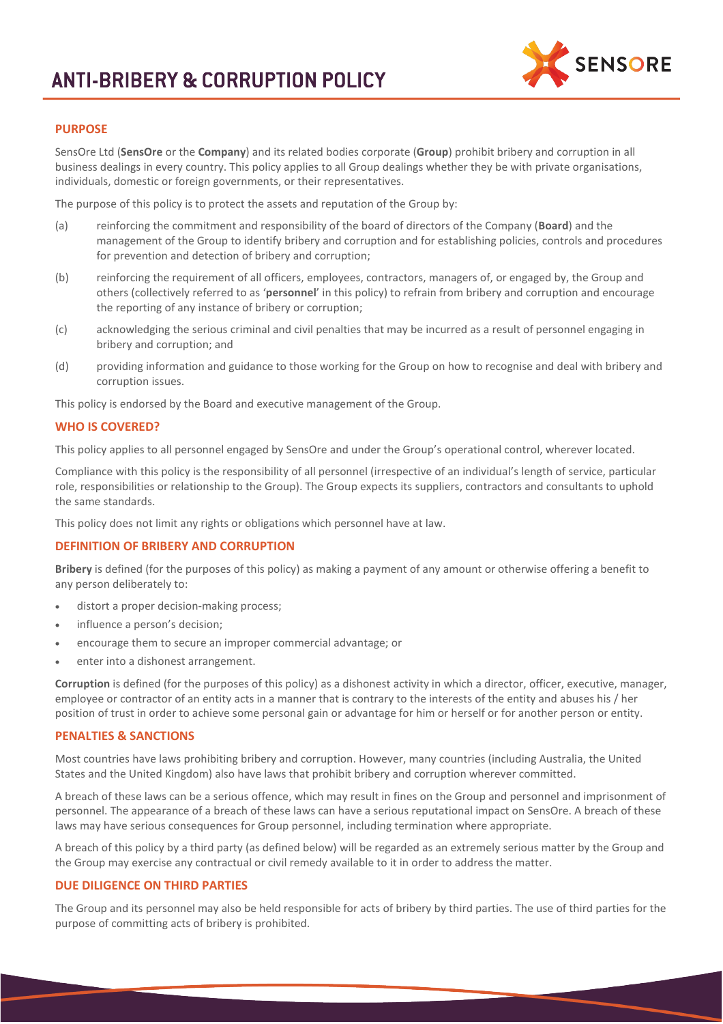

# **PURPOSE**

SensOre Ltd (**SensOre** or the **Company**) and its related bodies corporate (**Group**) prohibit bribery and corruption in all business dealings in every country. This policy applies to all Group dealings whether they be with private organisations, individuals, domestic or foreign governments, or their representatives.

The purpose of this policy is to protect the assets and reputation of the Group by:

- (a) reinforcing the commitment and responsibility of the board of directors of the Company (**Board**) and the management of the Group to identify bribery and corruption and for establishing policies, controls and procedures for prevention and detection of bribery and corruption;
- (b) reinforcing the requirement of all officers, employees, contractors, managers of, or engaged by, the Group and others (collectively referred to as '**personnel**' in this policy) to refrain from bribery and corruption and encourage the reporting of any instance of bribery or corruption;
- (c) acknowledging the serious criminal and civil penalties that may be incurred as a result of personnel engaging in bribery and corruption; and
- (d) providing information and guidance to those working for the Group on how to recognise and deal with bribery and corruption issues.

This policy is endorsed by the Board and executive management of the Group.

# **WHO IS COVERED?**

This policy applies to all personnel engaged by SensOre and under the Group's operational control, wherever located.

Compliance with this policy is the responsibility of all personnel (irrespective of an individual's length of service, particular role, responsibilities or relationship to the Group). The Group expects its suppliers, contractors and consultants to uphold the same standards.

This policy does not limit any rights or obligations which personnel have at law.

# **DEFINITION OF BRIBERY AND CORRUPTION**

**Bribery** is defined (for the purposes of this policy) as making a payment of any amount or otherwise offering a benefit to any person deliberately to:

- distort a proper decision-making process;
- influence a person's decision;
- encourage them to secure an improper commercial advantage; or
- enter into a dishonest arrangement.

**Corruption** is defined (for the purposes of this policy) as a dishonest activity in which a director, officer, executive, manager, employee or contractor of an entity acts in a manner that is contrary to the interests of the entity and abuses his / her position of trust in order to achieve some personal gain or advantage for him or herself or for another person or entity.

#### **PENALTIES & SANCTIONS**

Most countries have laws prohibiting bribery and corruption. However, many countries (including Australia, the United States and the United Kingdom) also have laws that prohibit bribery and corruption wherever committed.

A breach of these laws can be a serious offence, which may result in fines on the Group and personnel and imprisonment of personnel. The appearance of a breach of these laws can have a serious reputational impact on SensOre. A breach of these laws may have serious consequences for Group personnel, including termination where appropriate.

A breach of this policy by a third party (as defined below) will be regarded as an extremely serious matter by the Group and the Group may exercise any contractual or civil remedy available to it in order to address the matter.

# **DUE DILIGENCE ON THIRD PARTIES**

The Group and its personnel may also be held responsible for acts of bribery by third parties. The use of third parties for the purpose of committing acts of bribery is prohibited.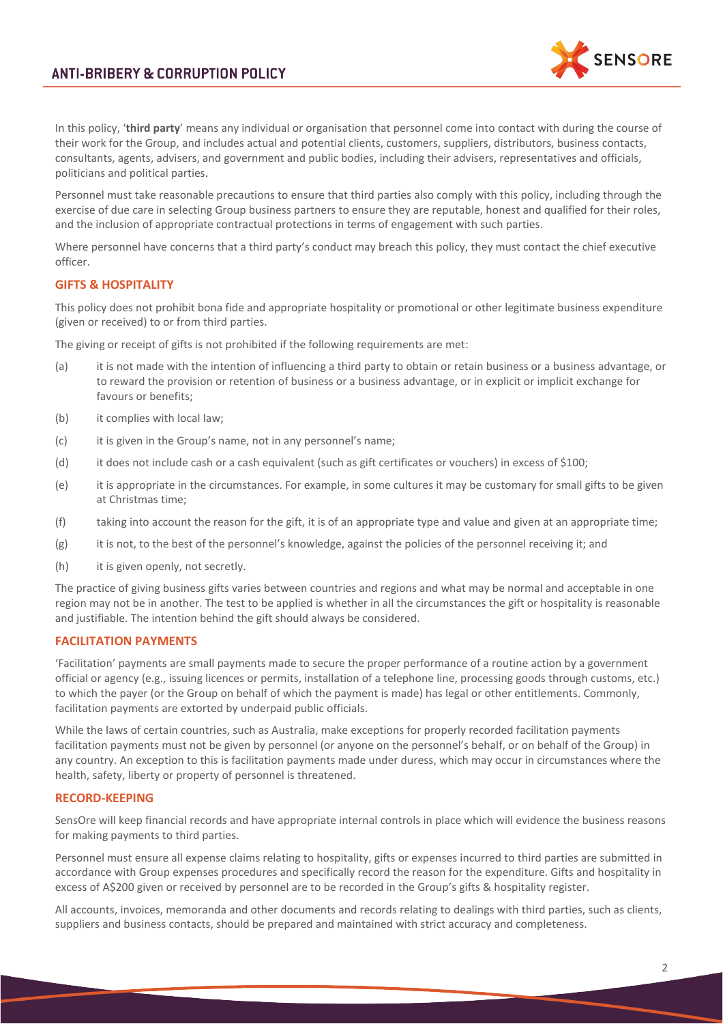

In this policy, '**third party**' means any individual or organisation that personnel come into contact with during the course of their work for the Group, and includes actual and potential clients, customers, suppliers, distributors, business contacts, consultants, agents, advisers, and government and public bodies, including their advisers, representatives and officials, politicians and political parties.

Personnel must take reasonable precautions to ensure that third parties also comply with this policy, including through the exercise of due care in selecting Group business partners to ensure they are reputable, honest and qualified for their roles, and the inclusion of appropriate contractual protections in terms of engagement with such parties.

Where personnel have concerns that a third party's conduct may breach this policy, they must contact the chief executive officer.

# **GIFTS & HOSPITALITY**

This policy does not prohibit bona fide and appropriate hospitality or promotional or other legitimate business expenditure (given or received) to or from third parties.

The giving or receipt of gifts is not prohibited if the following requirements are met:

- (a) it is not made with the intention of influencing a third party to obtain or retain business or a business advantage, or to reward the provision or retention of business or a business advantage, or in explicit or implicit exchange for favours or benefits;
- (b) it complies with local law;
- (c) it is given in the Group's name, not in any personnel's name;
- (d) it does not include cash or a cash equivalent (such as gift certificates or vouchers) in excess of \$100;
- (e) it is appropriate in the circumstances. For example, in some cultures it may be customary for small gifts to be given at Christmas time;
- (f) taking into account the reason for the gift, it is of an appropriate type and value and given at an appropriate time;
- (g) it is not, to the best of the personnel's knowledge, against the policies of the personnel receiving it; and
- (h) it is given openly, not secretly.

The practice of giving business gifts varies between countries and regions and what may be normal and acceptable in one region may not be in another. The test to be applied is whether in all the circumstances the gift or hospitality is reasonable and justifiable. The intention behind the gift should always be considered.

#### **FACILITATION PAYMENTS**

'Facilitation' payments are small payments made to secure the proper performance of a routine action by a government official or agency (e.g., issuing licences or permits, installation of a telephone line, processing goods through customs, etc.) to which the payer (or the Group on behalf of which the payment is made) has legal or other entitlements. Commonly, facilitation payments are extorted by underpaid public officials.

While the laws of certain countries, such as Australia, make exceptions for properly recorded facilitation payments facilitation payments must not be given by personnel (or anyone on the personnel's behalf, or on behalf of the Group) in any country. An exception to this is facilitation payments made under duress, which may occur in circumstances where the health, safety, liberty or property of personnel is threatened.

#### **RECORD-KEEPING**

SensOre will keep financial records and have appropriate internal controls in place which will evidence the business reasons for making payments to third parties.

Personnel must ensure all expense claims relating to hospitality, gifts or expenses incurred to third parties are submitted in accordance with Group expenses procedures and specifically record the reason for the expenditure. Gifts and hospitality in excess of A\$200 given or received by personnel are to be recorded in the Group's gifts & hospitality register.

All accounts, invoices, memoranda and other documents and records relating to dealings with third parties, such as clients, suppliers and business contacts, should be prepared and maintained with strict accuracy and completeness.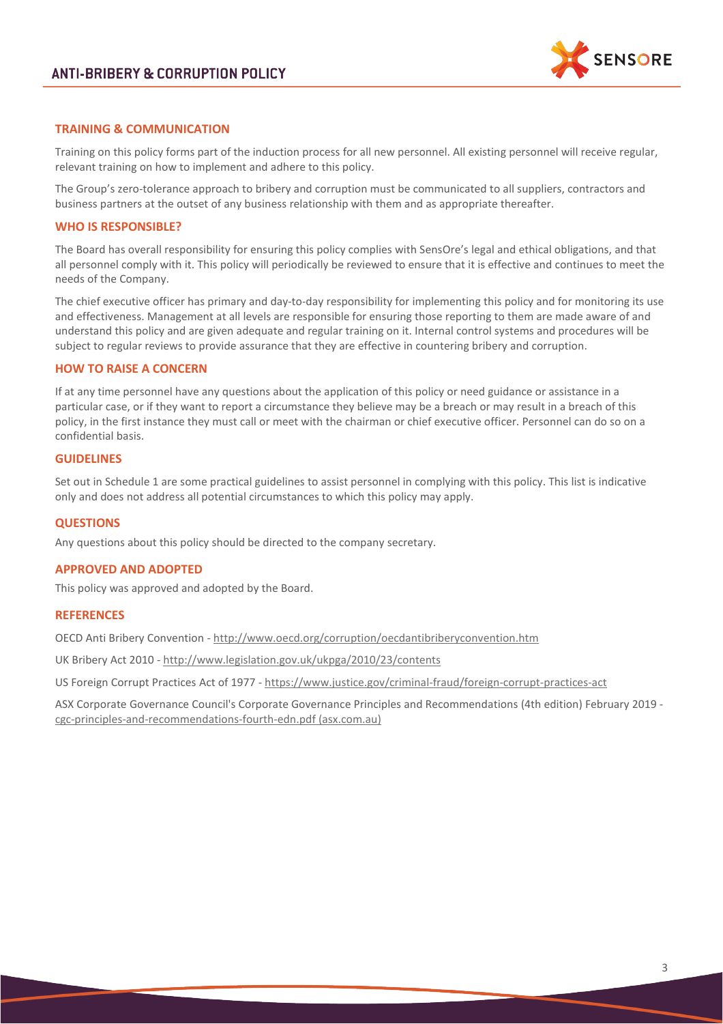

# **TRAINING & COMMUNICATION**

Training on this policy forms part of the induction process for all new personnel. All existing personnel will receive regular, relevant training on how to implement and adhere to this policy.

The Group's zero-tolerance approach to bribery and corruption must be communicated to all suppliers, contractors and business partners at the outset of any business relationship with them and as appropriate thereafter.

#### **WHO IS RESPONSIBLE?**

The Board has overall responsibility for ensuring this policy complies with SensOre's legal and ethical obligations, and that all personnel comply with it. This policy will periodically be reviewed to ensure that it is effective and continues to meet the needs of the Company.

The chief executive officer has primary and day-to-day responsibility for implementing this policy and for monitoring its use and effectiveness. Management at all levels are responsible for ensuring those reporting to them are made aware of and understand this policy and are given adequate and regular training on it. Internal control systems and procedures will be subject to regular reviews to provide assurance that they are effective in countering bribery and corruption.

### **HOW TO RAISE A CONCERN**

If at any time personnel have any questions about the application of this policy or need guidance or assistance in a particular case, or if they want to report a circumstance they believe may be a breach or may result in a breach of this policy, in the first instance they must call or meet with the chairman or chief executive officer. Personnel can do so on a confidential basis.

# **GUIDELINES**

Set out in Schedule 1 are some practical guidelines to assist personnel in complying with this policy. This list is indicative only and does not address all potential circumstances to which this policy may apply.

#### **QUESTIONS**

Any questions about this policy should be directed to the company secretary.

#### **APPROVED AND ADOPTED**

This policy was approved and adopted by the Board.

#### **REFERENCES**

OECD Anti Bribery Convention - <http://www.oecd.org/corruption/oecdantibriberyconvention.htm>

UK Bribery Act 2010 - <http://www.legislation.gov.uk/ukpga/2010/23/contents>

US Foreign Corrupt Practices Act of 1977 - <https://www.justice.gov/criminal-fraud/foreign-corrupt-practices-act>

ASX Corporate Governance Council's Corporate Governance Principles and Recommendations (4th edition) February 2019 [cgc-principles-and-recommendations-fourth-edn.pdf \(asx.com.au\)](https://www.asx.com.au/documents/regulation/cgc-principles-and-recommendations-fourth-edn.pdf)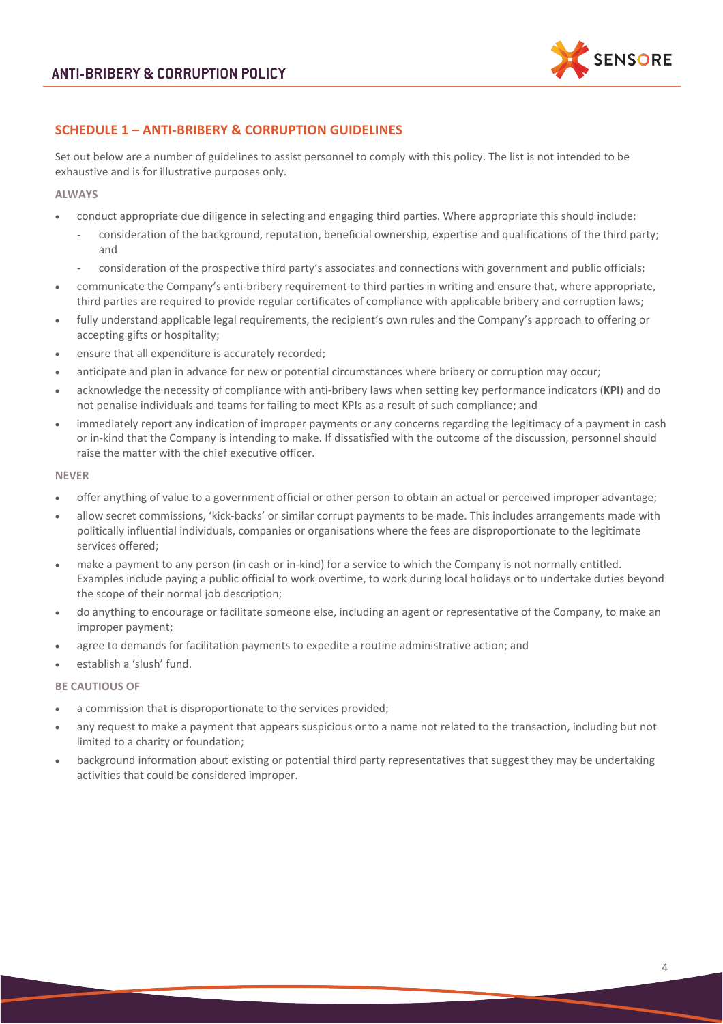

# **SCHEDULE 1 – ANTI-BRIBERY & CORRUPTION GUIDELINES**

Set out below are a number of guidelines to assist personnel to comply with this policy. The list is not intended to be exhaustive and is for illustrative purposes only.

#### **ALWAYS**

- conduct appropriate due diligence in selecting and engaging third parties. Where appropriate this should include:
	- consideration of the background, reputation, beneficial ownership, expertise and qualifications of the third party; and
	- consideration of the prospective third party's associates and connections with government and public officials;
- communicate the Company's anti-bribery requirement to third parties in writing and ensure that, where appropriate, third parties are required to provide regular certificates of compliance with applicable bribery and corruption laws;
- fully understand applicable legal requirements, the recipient's own rules and the Company's approach to offering or accepting gifts or hospitality;
- ensure that all expenditure is accurately recorded;
- anticipate and plan in advance for new or potential circumstances where bribery or corruption may occur;
- acknowledge the necessity of compliance with anti-bribery laws when setting key performance indicators (**KPI**) and do not penalise individuals and teams for failing to meet KPIs as a result of such compliance; and
- immediately report any indication of improper payments or any concerns regarding the legitimacy of a payment in cash or in-kind that the Company is intending to make. If dissatisfied with the outcome of the discussion, personnel should raise the matter with the chief executive officer.

### **NEVER**

- offer anything of value to a government official or other person to obtain an actual or perceived improper advantage;
- allow secret commissions, 'kick-backs' or similar corrupt payments to be made. This includes arrangements made with politically influential individuals, companies or organisations where the fees are disproportionate to the legitimate services offered;
- make a payment to any person (in cash or in-kind) for a service to which the Company is not normally entitled. Examples include paying a public official to work overtime, to work during local holidays or to undertake duties beyond the scope of their normal job description;
- do anything to encourage or facilitate someone else, including an agent or representative of the Company, to make an improper payment;
- agree to demands for facilitation payments to expedite a routine administrative action; and
- establish a 'slush' fund.

# **BE CAUTIOUS OF**

- a commission that is disproportionate to the services provided;
- any request to make a payment that appears suspicious or to a name not related to the transaction, including but not limited to a charity or foundation;
- background information about existing or potential third party representatives that suggest they may be undertaking activities that could be considered improper.